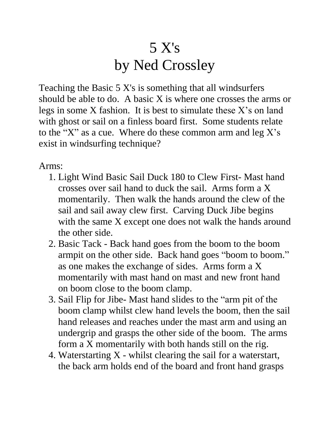## 5 X's by Ned Crossley

Teaching the Basic 5 X's is something that all windsurfers should be able to do. A basic X is where one crosses the arms or legs in some X fashion. It is best to simulate these X's on land with ghost or sail on a finless board first. Some students relate to the "X" as a cue. Where do these common arm and  $\log X$ 's exist in windsurfing technique?

Arms:

- 1. Light Wind Basic Sail Duck 180 to Clew First- Mast hand crosses over sail hand to duck the sail. Arms form a X momentarily. Then walk the hands around the clew of the sail and sail away clew first. Carving Duck Jibe begins with the same X except one does not walk the hands around the other side.
- 2. Basic Tack Back hand goes from the boom to the boom armpit on the other side. Back hand goes "boom to boom." as one makes the exchange of sides. Arms form a X momentarily with mast hand on mast and new front hand on boom close to the boom clamp.
- 3. Sail Flip for Jibe- Mast hand slides to the "arm pit of the boom clamp whilst clew hand levels the boom, then the sail hand releases and reaches under the mast arm and using an undergrip and grasps the other side of the boom. The arms form a X momentarily with both hands still on the rig.
- 4. Waterstarting X whilst clearing the sail for a waterstart, the back arm holds end of the board and front hand grasps